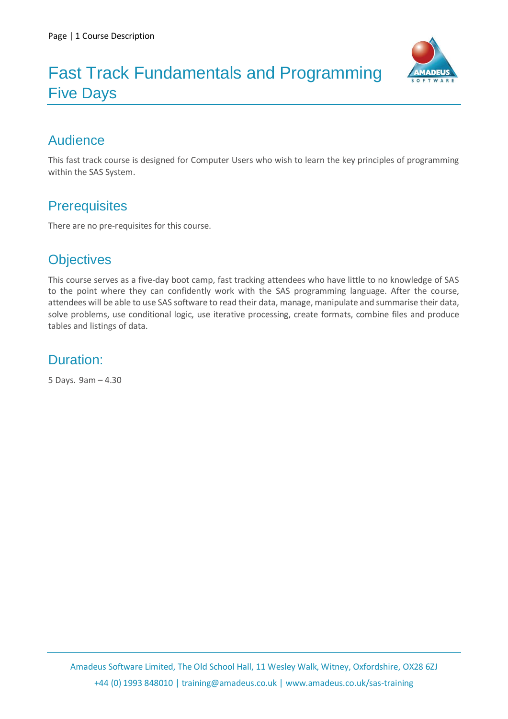

## Fast Track Fundamentals and Programming Five Days

## Audience

This fast track course is designed for Computer Users who wish to learn the key principles of programming within the SAS System.

## **Prerequisites**

There are no pre-requisites for this course.

### **Objectives**

This course serves as a five-day boot camp, fast tracking attendees who have little to no knowledge of SAS to the point where they can confidently work with the SAS programming language. After the course, attendees will be able to use SAS software to read their data, manage, manipulate and summarise their data, solve problems, use conditional logic, use iterative processing, create formats, combine files and produce tables and listings of data.

### Duration:

5 Days. 9am – 4.30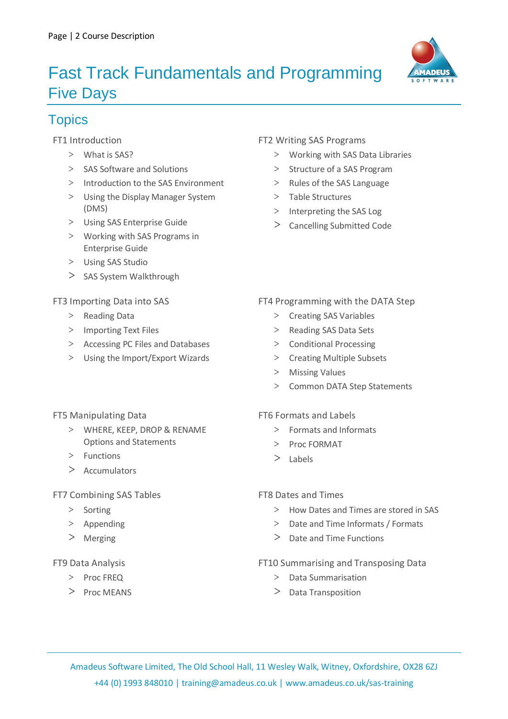# Fast Track Fundamentals and Programming Five Days



## **Topics**

FT1 Introduction

- **>** What is SAS?
- **>** SAS Software and Solutions
- **>** Introduction to the SAS Environment
- **>** Using the Display Manager System (DMS)
- **>** Using SAS Enterprise Guide
- **>** Working with SAS Programs in Enterprise Guide
- **>** Using SAS Studio
- **>** SAS System Walkthrough

FT3 Importing Data into SAS

- **>** Reading Data
- **>** Importing Text Files
- **>** Accessing PC Files and Databases
- **>** Using the Import/Export Wizards

#### FT2 Writing SAS Programs

- **>** Working with SAS Data Libraries
- **>** Structure of a SAS Program
- **>** Rules of the SAS Language
- **>** Table Structures
- **>** Interpreting the SAS Log
- **>** Cancelling Submitted Code

#### FT4 Programming with the DATA Step

- **>** Creating SAS Variables
- **>** Reading SAS Data Sets
- **>** Conditional Processing
- **>** Creating Multiple Subsets
- **>** Missing Values
- **>** Common DATA Step Statements

#### FT5 Manipulating Data

- **>** WHERE, KEEP, DROP & RENAME Options and Statements
- **>** Functions
- **>** Accumulators

#### FT7 Combining SAS Tables

- **>** Sorting
- **>** Appending
- **>** Merging

#### FT9 Data Analysis

- **>** Proc FREQ
- **>** Proc MEANS

#### FT6 Formats and Labels

- **>** Formats and Informats
- **>** Proc FORMAT
- **>** Labels

#### FT8 Dates and Times

- **>** How Dates and Times are stored in SAS
- **>** Date and Time Informats / Formats
- **>** Date and Time Functions

#### FT10 Summarising and Transposing Data

- **>** Data Summarisation
- **>** Data Transposition